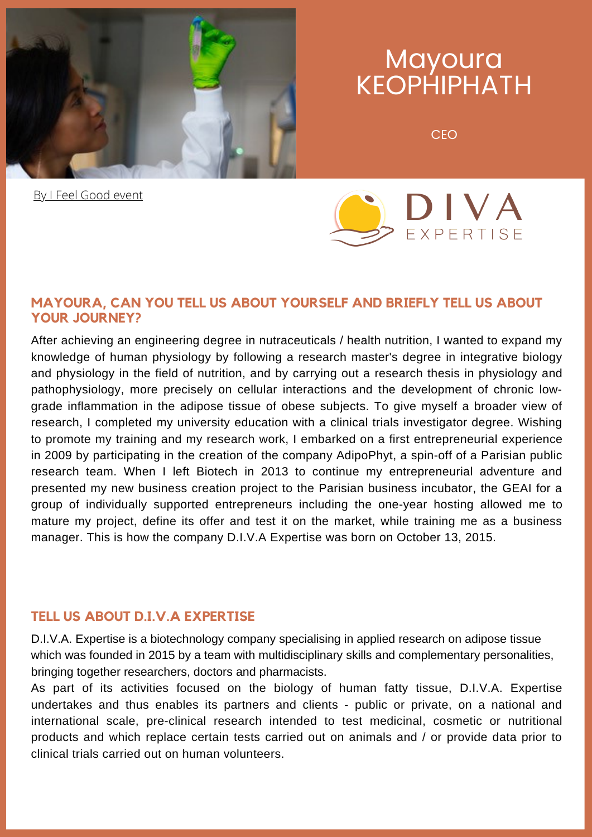

# **Mayoura** KEOPHIPHATH

CEO

**[By I Feel Good event](https://en.ifeelgood-event.com/)** 



# **MAYOURA, CAN YOU TELL US ABOUT YOURSELF AND BRIEFLY TELL US ABOUT YOUR JOURNEY?**

After achieving an engineering degree in nutraceuticals / health nutrition, I wanted to expand my knowledge of human physiology by following a research master's degree in integrative biology and physiology in the field of nutrition, and by carrying out a research thesis in physiology and pathophysiology, more precisely on cellular interactions and the development of chronic lowgrade inflammation in the adipose tissue of obese subjects. To give myself a broader view of research, I completed my university education with a clinical trials investigator degree. Wishing to promote my training and my research work, I embarked on a first entrepreneurial experience in 2009 by participating in the creation of the company AdipoPhyt, a spin-off of a Parisian public research team. When I left Biotech in 2013 to continue my entrepreneurial adventure and presented my new business creation project to the Parisian business incubator, the GEAI for a group of individually supported entrepreneurs including the one-year hosting allowed me to mature my project, define its offer and test it on the market, while training me as a business manager. This is how the company D.I.V.A Expertise was born on October 13, 2015.

# **TELL US ABOUT D.I.V.A EXPERTISE**

D.I.V.A. Expertise is a biotechnology company specialising in applied research on adipose tissue which was founded in 2015 by a team with multidisciplinary skills and complementary personalities, bringing together researchers, doctors and pharmacists.

As part of its activities focused on the biology of human fatty tissue, D.I.V.A. Expertise undertakes and thus enables its partners and clients - public or private, on a national and international scale, pre-clinical research intended to test medicinal, cosmetic or nutritional products and which replace certain tests carried out on animals and / or provide data prior to clinical trials carried out on human volunteers.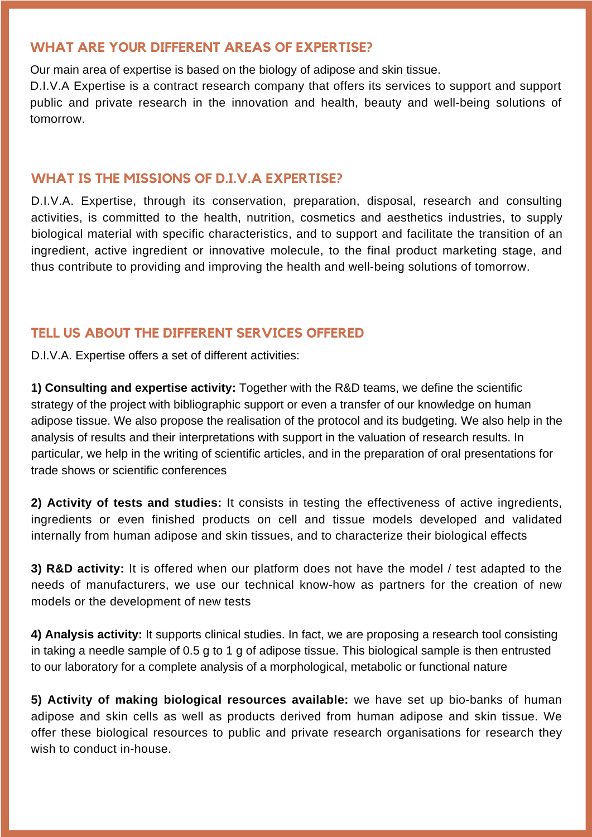### **WHAT ARE YOUR DIFFERENT AREAS OF EXPERTISE?**

Our main area of expertise is based on the biology of adipose and skin tissue.

D.I.V.A Expertise is a contract research company that offers its services to support and support public and private research in the innovation and health, beauty and well-being solutions of tomorrow.

#### **WHAT IS THE MISSIONS OF D.I.V.A EXPERTISE?**

D.I.V.A. Expertise, through its conservation, preparation, disposal, research and consulting activities, is committed to the health, nutrition, cosmetics and aesthetics industries, to supply biological material with specific characteristics, and to support and facilitate the transition of an ingredient, active ingredient or innovative molecule, to the final product marketing stage, and thus contribute to providing and improving the health and well-being solutions of tomorrow.

### **TELL US ABOUT THE DIFFERENT SERVICES OFFERED**

D.I.V.A. Expertise offers a set of different activities:

**1) Consulting and expertise activity:** Together with the R&D teams, we define the scientific strategy of the project with bibliographic support or even a transfer of our knowledge on human adipose tissue. We also propose the realisation of the protocol and its budgeting. We also help in the analysis of results and their interpretations with support in the valuation of research results. In particular, we help in the writing of scientific articles, and in the preparation of oral presentations for trade shows or scientific conferences

**2) Activity of tests and studies:** It consists in testing the effectiveness of active ingredients, ingredients or even finished products on cell and tissue models developed and validated internally from human adipose and skin tissues, and to characterize their biological effects

**3) R&D activity:** It is offered when our platform does not have the model / test adapted to the needs of manufacturers, we use our technical know-how as partners for the creation of new models or the development of new tests

**4) Analysis activity:** It supports clinical studies. In fact, we are proposing a research tool consisting in taking a needle sample of 0.5 g to 1 g of adipose tissue. This biological sample is then entrusted to our laboratory for a complete analysis of a morphological, metabolic or functional nature

**5) Activity of making biological resources available:** we have set up bio-banks of human adipose and skin cells as well as products derived from human adipose and skin tissue. We offer these biological resources to public and private research organisations for research they wish to conduct in-house.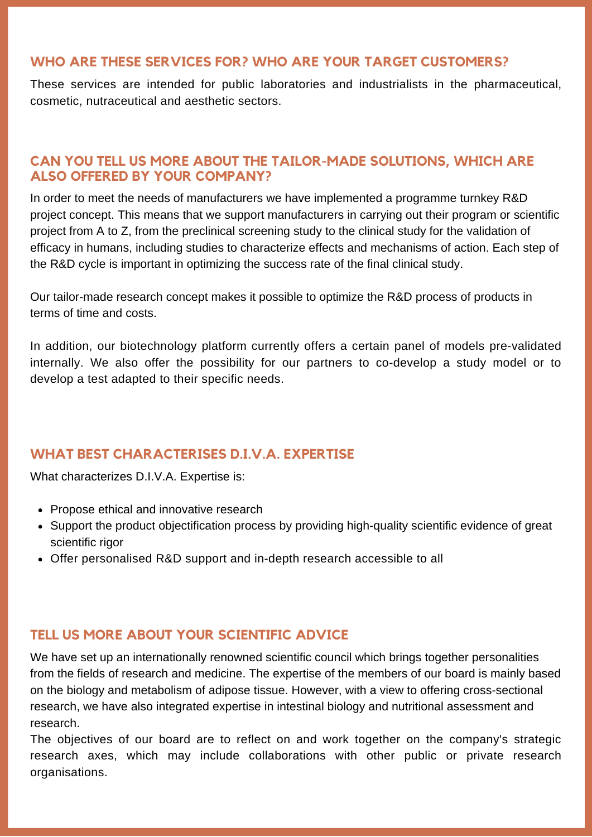# **WHO ARE THESE SERVICES FOR? WHO ARE YOUR TARGET CUSTOMERS?**

These services are intended for public laboratories and industrialists in the pharmaceutical, cosmetic, nutraceutical and aesthetic sectors.

#### **CAN YOU TELL US MORE ABOUT THE TAILOR-MADE SOLUTIONS, WHICH ARE ALSO OFFERED BY YOUR COMPANY?**

In order to meet the needs of manufacturers we have implemented a programme turnkey R&D project concept. This means that we support manufacturers in carrying out their program or scientific project from A to Z, from the preclinical screening study to the clinical study for the validation of efficacy in humans, including studies to characterize effects and mechanisms of action. Each step of the R&D cycle is important in optimizing the success rate of the final clinical study.

Our tailor-made research concept makes it possible to optimize the R&D process of products in terms of time and costs.

In addition, our biotechnology platform currently offers a certain panel of models pre-validated internally. We also offer the possibility for our partners to co-develop a study model or to develop a test adapted to their specific needs.

#### **WHAT BEST CHARACTERISES D.I.V.A. EXPERTISE**

What characterizes D.I.V.A. Expertise is:

- Propose ethical and innovative research
- Support the product objectification process by providing high-quality scientific evidence of great scientific rigor
- Offer personalised R&D support and in-depth research accessible to all

### **TELL US MORE ABOUT YOUR SCIENTIFIC ADVICE**

We have set up an internationally renowned scientific council which brings together personalities from the fields of research and medicine. The expertise of the members of our board is mainly based on the biology and metabolism of adipose tissue. However, with a view to offering cross-sectional research, we have also integrated expertise in intestinal biology and nutritional assessment and research.

The objectives of our board are to reflect on and work together on the company's strategic research axes, which may include collaborations with other public or private research organisations.